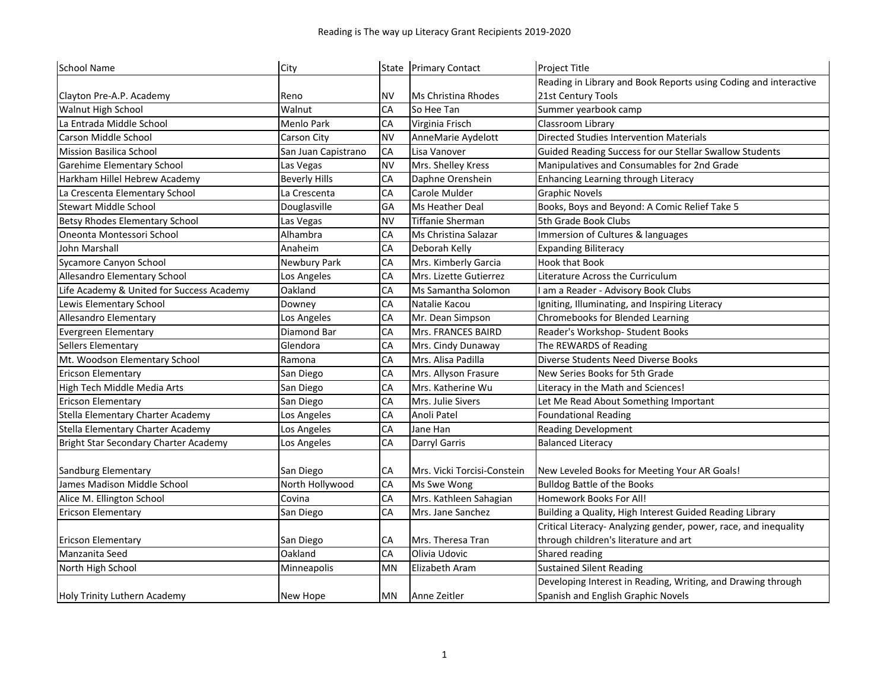| <b>School Name</b>                        | City                 |           | State Primary Contact       | Project Title                                                    |
|-------------------------------------------|----------------------|-----------|-----------------------------|------------------------------------------------------------------|
|                                           |                      |           |                             | Reading in Library and Book Reports using Coding and interactive |
| Clayton Pre-A.P. Academy                  | Reno                 | <b>NV</b> | Ms Christina Rhodes         | 21st Century Tools                                               |
| <b>Walnut High School</b>                 | Walnut               | CA        | So Hee Tan                  | Summer yearbook camp                                             |
| La Entrada Middle School                  | Menlo Park           | CA        | Virginia Frisch             | Classroom Library                                                |
| Carson Middle School                      | Carson City          | <b>NV</b> | AnneMarie Aydelott          | <b>Directed Studies Intervention Materials</b>                   |
| <b>Mission Basilica School</b>            | San Juan Capistrano  | CA        | Lisa Vanover                | Guided Reading Success for our Stellar Swallow Students          |
| Garehime Elementary School                | Las Vegas            | <b>NV</b> | Mrs. Shelley Kress          | Manipulatives and Consumables for 2nd Grade                      |
| Harkham Hillel Hebrew Academy             | <b>Beverly Hills</b> | CA        | Daphne Orenshein            | Enhancing Learning through Literacy                              |
| La Crescenta Elementary School            | La Crescenta         | CA        | Carole Mulder               | <b>Graphic Novels</b>                                            |
| <b>Stewart Middle School</b>              | Douglasville         | GA        | Ms Heather Deal             | Books, Boys and Beyond: A Comic Relief Take 5                    |
| Betsy Rhodes Elementary School            | Las Vegas            | <b>NV</b> | <b>Tiffanie Sherman</b>     | 5th Grade Book Clubs                                             |
| Oneonta Montessori School                 | Alhambra             | CA        | Ms Christina Salazar        | Immersion of Cultures & languages                                |
| John Marshall                             | Anaheim              | CA        | Deborah Kelly               | <b>Expanding Biliteracy</b>                                      |
| Sycamore Canyon School                    | Newbury Park         | CA        | Mrs. Kimberly Garcia        | Hook that Book                                                   |
| Allesandro Elementary School              | Los Angeles          | CA        | Mrs. Lizette Gutierrez      | Literature Across the Curriculum                                 |
| Life Academy & United for Success Academy | Oakland              | CA        | Ms Samantha Solomon         | I am a Reader - Advisory Book Clubs                              |
| Lewis Elementary School                   | Downey               | CA        | Natalie Kacou               | Igniting, Illuminating, and Inspiring Literacy                   |
| Allesandro Elementary                     | Los Angeles          | CA        | Mr. Dean Simpson            | Chromebooks for Blended Learning                                 |
| <b>Evergreen Elementary</b>               | Diamond Bar          | CA        | Mrs. FRANCES BAIRD          | Reader's Workshop- Student Books                                 |
| Sellers Elementary                        | Glendora             | CA        | Mrs. Cindy Dunaway          | The REWARDS of Reading                                           |
| Mt. Woodson Elementary School             | Ramona               | CA        | Mrs. Alisa Padilla          | Diverse Students Need Diverse Books                              |
| <b>Ericson Elementary</b>                 | San Diego            | CA        | Mrs. Allyson Frasure        | New Series Books for 5th Grade                                   |
| High Tech Middle Media Arts               | San Diego            | CA        | Mrs. Katherine Wu           | Literacy in the Math and Sciences!                               |
| <b>Ericson Elementary</b>                 | San Diego            | CA        | Mrs. Julie Sivers           | Let Me Read About Something Important                            |
| Stella Elementary Charter Academy         | Los Angeles          | CA        | Anoli Patel                 | <b>Foundational Reading</b>                                      |
| Stella Elementary Charter Academy         | Los Angeles          | CA        | Jane Han                    | <b>Reading Development</b>                                       |
| Bright Star Secondary Charter Academy     | Los Angeles          | CA        | Darryl Garris               | <b>Balanced Literacy</b>                                         |
|                                           |                      |           |                             |                                                                  |
| Sandburg Elementary                       | San Diego            | CA        | Mrs. Vicki Torcisi-Constein | New Leveled Books for Meeting Your AR Goals!                     |
| James Madison Middle School               | North Hollywood      | CA        | Ms Swe Wong                 | <b>Bulldog Battle of the Books</b>                               |
| Alice M. Ellington School                 | Covina               | CA        | Mrs. Kathleen Sahagian      | Homework Books For All!                                          |
| <b>Ericson Elementary</b>                 | San Diego            | CA        | Mrs. Jane Sanchez           | Building a Quality, High Interest Guided Reading Library         |
|                                           |                      |           |                             | Critical Literacy- Analyzing gender, power, race, and inequality |
| <b>Ericson Elementary</b>                 | San Diego            | CA        | Mrs. Theresa Tran           | through children's literature and art                            |
| Manzanita Seed                            | Oakland              | CA        | Olivia Udovic               | Shared reading                                                   |
| North High School                         | Minneapolis          | <b>MN</b> | Elizabeth Aram              | <b>Sustained Silent Reading</b>                                  |
|                                           |                      |           |                             | Developing Interest in Reading, Writing, and Drawing through     |
| Holy Trinity Luthern Academy              | New Hope             | MN        | Anne Zeitler                | Spanish and English Graphic Novels                               |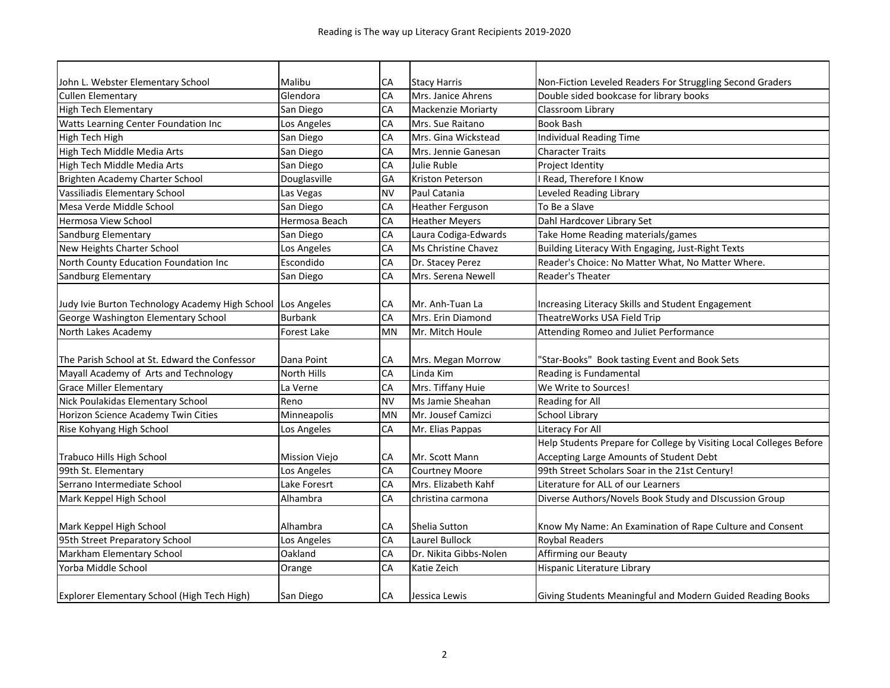| John L. Webster Elementary School                           | Malibu         | СA        | <b>Stacy Harris</b>       | Non-Fiction Leveled Readers For Struggling Second Graders           |
|-------------------------------------------------------------|----------------|-----------|---------------------------|---------------------------------------------------------------------|
| <b>Cullen Elementary</b>                                    | Glendora       | CA        | Mrs. Janice Ahrens        | Double sided bookcase for library books                             |
| High Tech Elementary                                        | San Diego      | CA        | <b>Mackenzie Moriarty</b> | Classroom Library                                                   |
| Watts Learning Center Foundation Inc                        | Los Angeles    | CA        | Mrs. Sue Raitano          | <b>Book Bash</b>                                                    |
| High Tech High                                              | San Diego      | CA        | Mrs. Gina Wickstead       | <b>Individual Reading Time</b>                                      |
| High Tech Middle Media Arts                                 | San Diego      | CA        | Mrs. Jennie Ganesan       | <b>Character Traits</b>                                             |
| High Tech Middle Media Arts                                 | San Diego      | CA        | Julie Ruble               | Project Identity                                                    |
| Brighten Academy Charter School                             | Douglasville   | GA        | Kriston Peterson          | Read, Therefore I Know                                              |
| Vassiliadis Elementary School                               | Las Vegas      | <b>NV</b> | Paul Catania              | Leveled Reading Library                                             |
| Mesa Verde Middle School                                    | San Diego      | CA        | Heather Ferguson          | To Be a Slave                                                       |
| Hermosa View School                                         | Hermosa Beach  | CA        | <b>Heather Meyers</b>     | Dahl Hardcover Library Set                                          |
| Sandburg Elementary                                         | San Diego      | CA        | Laura Codiga-Edwards      | Take Home Reading materials/games                                   |
| New Heights Charter School                                  | Los Angeles    | CA        | Ms Christine Chavez       | Building Literacy With Engaging, Just-Right Texts                   |
| North County Education Foundation Inc                       | Escondido      | CA        | Dr. Stacey Perez          | Reader's Choice: No Matter What, No Matter Where.                   |
| Sandburg Elementary                                         | San Diego      | CA        | Mrs. Serena Newell        | Reader's Theater                                                    |
|                                                             |                |           |                           |                                                                     |
| Judy Ivie Burton Technology Academy High School Los Angeles |                | СA        | Mr. Anh-Tuan La           | Increasing Literacy Skills and Student Engagement                   |
| George Washington Elementary School                         | <b>Burbank</b> | CA        | Mrs. Erin Diamond         | TheatreWorks USA Field Trip                                         |
| North Lakes Academy                                         | Forest Lake    | MN        | Mr. Mitch Houle           | Attending Romeo and Juliet Performance                              |
|                                                             |                |           |                           |                                                                     |
| The Parish School at St. Edward the Confessor               | Dana Point     | CA        | Mrs. Megan Morrow         | 'Star-Books" Book tasting Event and Book Sets                       |
| Mayall Academy of Arts and Technology                       | North Hills    | CA        | Linda Kim                 | Reading is Fundamental                                              |
| <b>Grace Miller Elementary</b>                              | La Verne       | CA        | Mrs. Tiffany Huie         | We Write to Sources!                                                |
| Nick Poulakidas Elementary School                           | Reno           | <b>NV</b> | Ms Jamie Sheahan          | Reading for All                                                     |
| Horizon Science Academy Twin Cities                         | Minneapolis    | <b>MN</b> | Mr. Jousef Camizci        | <b>School Library</b>                                               |
| Rise Kohyang High School                                    | Los Angeles    | CA        | Mr. Elias Pappas          | <b>Literacy For All</b>                                             |
|                                                             |                |           |                           | Help Students Prepare for College by Visiting Local Colleges Before |
| Trabuco Hills High School                                   | Mission Viejo  | CA        | Mr. Scott Mann            | Accepting Large Amounts of Student Debt                             |
| 99th St. Elementary                                         | Los Angeles    | CA        | <b>Courtney Moore</b>     | 99th Street Scholars Soar in the 21st Century!                      |
| Serrano Intermediate School                                 | Lake Foresrt   | CA        | Mrs. Elizabeth Kahf       | Literature for ALL of our Learners                                  |
| Mark Keppel High School                                     | Alhambra       | CA        | christina carmona         | Diverse Authors/Novels Book Study and Discussion Group              |
|                                                             |                |           |                           |                                                                     |
| Mark Keppel High School                                     | Alhambra       | СA        | Shelia Sutton             | Know My Name: An Examination of Rape Culture and Consent            |
| 95th Street Preparatory School                              | Los Angeles    | CA        | Laurel Bullock            | <b>Roybal Readers</b>                                               |
| Markham Elementary School                                   | Oakland        | CA        | Dr. Nikita Gibbs-Nolen    | Affirming our Beauty                                                |
| Yorba Middle School                                         | Orange         | CA        | Katie Zeich               | Hispanic Literature Library                                         |
|                                                             |                |           |                           |                                                                     |
| Explorer Elementary School (High Tech High)                 | San Diego      | СA        | Jessica Lewis             | Giving Students Meaningful and Modern Guided Reading Books          |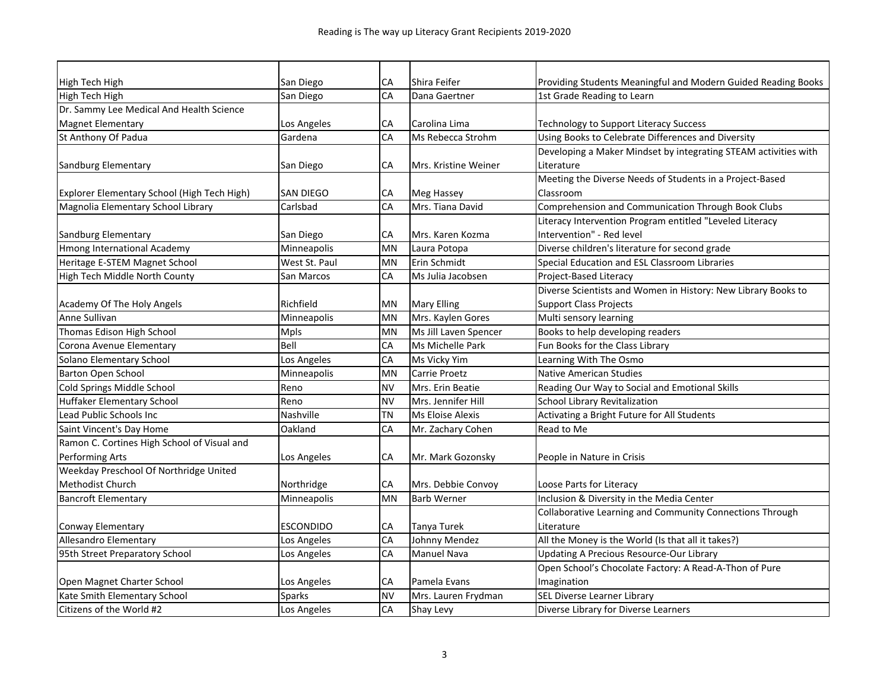| High Tech High                              | San Diego        | CA        | Shira Feifer          | Providing Students Meaningful and Modern Guided Reading Books   |
|---------------------------------------------|------------------|-----------|-----------------------|-----------------------------------------------------------------|
| High Tech High                              | San Diego        | CA        | Dana Gaertner         | 1st Grade Reading to Learn                                      |
| Dr. Sammy Lee Medical And Health Science    |                  |           |                       |                                                                 |
| <b>Magnet Elementary</b>                    | Los Angeles      | CA        | Carolina Lima         | Technology to Support Literacy Success                          |
| St Anthony Of Padua                         | Gardena          | CA        | Ms Rebecca Strohm     | Using Books to Celebrate Differences and Diversity              |
|                                             |                  |           |                       | Developing a Maker Mindset by integrating STEAM activities with |
| Sandburg Elementary                         | San Diego        | CA        | Mrs. Kristine Weiner  | Literature                                                      |
|                                             |                  |           |                       | Meeting the Diverse Needs of Students in a Project-Based        |
| Explorer Elementary School (High Tech High) | <b>SAN DIEGO</b> | CA        | Meg Hassey            | Classroom                                                       |
| Magnolia Elementary School Library          | Carlsbad         | CA        | Mrs. Tiana David      | Comprehension and Communication Through Book Clubs              |
|                                             |                  |           |                       | Literacy Intervention Program entitled "Leveled Literacy        |
| Sandburg Elementary                         | San Diego        | CA        | Mrs. Karen Kozma      | Intervention" - Red level                                       |
| Hmong International Academy                 | Minneapolis      | <b>MN</b> | Laura Potopa          | Diverse children's literature for second grade                  |
| Heritage E-STEM Magnet School               | West St. Paul    | MN        | Erin Schmidt          | Special Education and ESL Classroom Libraries                   |
| High Tech Middle North County               | San Marcos       | CA        | Ms Julia Jacobsen     | <b>Project-Based Literacy</b>                                   |
|                                             |                  |           |                       | Diverse Scientists and Women in History: New Library Books to   |
| Academy Of The Holy Angels                  | Richfield        | <b>MN</b> | <b>Mary Elling</b>    | <b>Support Class Projects</b>                                   |
| Anne Sullivan                               | Minneapolis      | MN        | Mrs. Kaylen Gores     | Multi sensory learning                                          |
| Thomas Edison High School                   | <b>Mpls</b>      | <b>MN</b> | Ms Jill Laven Spencer | Books to help developing readers                                |
| Corona Avenue Elementary                    | Bell             | CA        | Ms Michelle Park      | Fun Books for the Class Library                                 |
| Solano Elementary School                    | Los Angeles      | CA        | Ms Vicky Yim          | Learning With The Osmo                                          |
| Barton Open School                          | Minneapolis      | <b>MN</b> | Carrie Proetz         | <b>Native American Studies</b>                                  |
| Cold Springs Middle School                  | Reno             | <b>NV</b> | Mrs. Erin Beatie      | Reading Our Way to Social and Emotional Skills                  |
| <b>Huffaker Elementary School</b>           | Reno             | <b>NV</b> | Mrs. Jennifer Hill    | <b>School Library Revitalization</b>                            |
| Lead Public Schools Inc                     | Nashville        | <b>TN</b> | Ms Eloise Alexis      | Activating a Bright Future for All Students                     |
| Saint Vincent's Day Home                    | Oakland          | CA        | Mr. Zachary Cohen     | Read to Me                                                      |
| Ramon C. Cortines High School of Visual and |                  |           |                       |                                                                 |
| Performing Arts                             | Los Angeles      | СA        | Mr. Mark Gozonsky     | People in Nature in Crisis                                      |
| Weekday Preschool Of Northridge United      |                  |           |                       |                                                                 |
| Methodist Church                            | Northridge       | СA        | Mrs. Debbie Convoy    | Loose Parts for Literacy                                        |
| <b>Bancroft Elementary</b>                  | Minneapolis      | <b>MN</b> | <b>Barb Werner</b>    | Inclusion & Diversity in the Media Center                       |
|                                             |                  |           |                       | Collaborative Learning and Community Connections Through        |
| Conway Elementary                           | <b>ESCONDIDO</b> | СA        | Tanya Turek           | Literature                                                      |
| <b>Allesandro Elementary</b>                | Los Angeles      | CA        | Johnny Mendez         | All the Money is the World (Is that all it takes?)              |
| 95th Street Preparatory School              | Los Angeles      | CA        | Manuel Nava           | <b>Updating A Precious Resource-Our Library</b>                 |
|                                             |                  |           |                       | Open School's Chocolate Factory: A Read-A-Thon of Pure          |
| Open Magnet Charter School                  | Los Angeles      | CA        | Pamela Evans          | Imagination                                                     |
| Kate Smith Elementary School                | Sparks           | <b>NV</b> | Mrs. Lauren Frydman   | SEL Diverse Learner Library                                     |
| Citizens of the World #2                    | Los Angeles      | CA        | Shay Levy             | Diverse Library for Diverse Learners                            |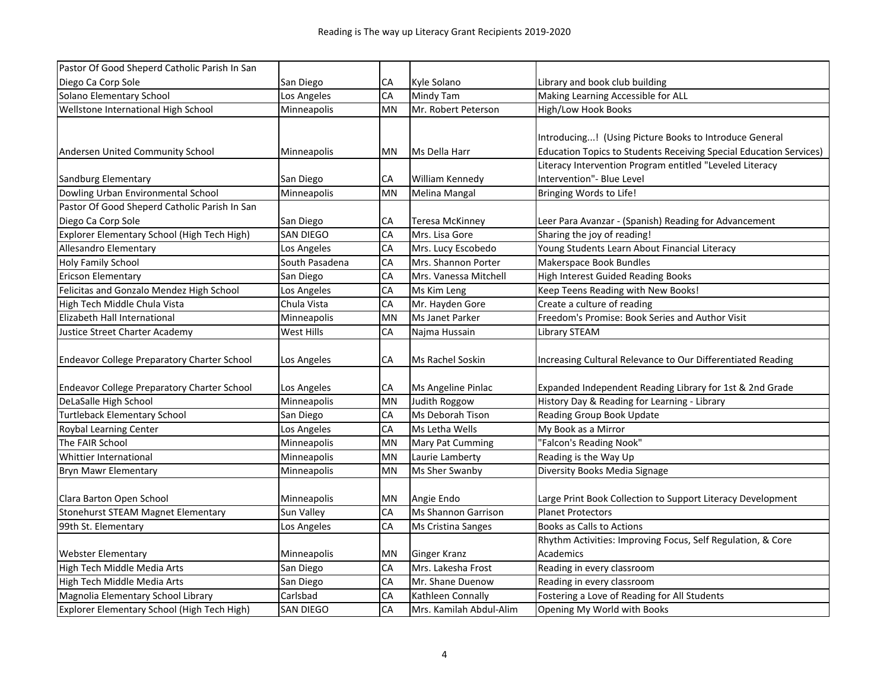| Pastor Of Good Sheperd Catholic Parish In San      |                |           |                         |                                                                    |
|----------------------------------------------------|----------------|-----------|-------------------------|--------------------------------------------------------------------|
| Diego Ca Corp Sole                                 | San Diego      | СA        | Kyle Solano             | Library and book club building                                     |
| Solano Elementary School                           | Los Angeles    | CA        | Mindy Tam               | Making Learning Accessible for ALL                                 |
| Wellstone International High School                | Minneapolis    | <b>MN</b> | Mr. Robert Peterson     | High/Low Hook Books                                                |
|                                                    |                |           |                         |                                                                    |
|                                                    |                |           |                         | Introducing! (Using Picture Books to Introduce General             |
| Andersen United Community School                   | Minneapolis    | MN        | Ms Della Harr           | Education Topics to Students Receiving Special Education Services) |
|                                                    |                |           |                         | Literacy Intervention Program entitled "Leveled Literacy           |
| Sandburg Elementary                                | San Diego      | СA        | William Kennedy         | Intervention" - Blue Level                                         |
| Dowling Urban Environmental School                 | Minneapolis    | MN        | <b>Melina Mangal</b>    | Bringing Words to Life!                                            |
| Pastor Of Good Sheperd Catholic Parish In San      |                |           |                         |                                                                    |
| Diego Ca Corp Sole                                 | San Diego      | CA        | Teresa McKinney         | Leer Para Avanzar - (Spanish) Reading for Advancement              |
| Explorer Elementary School (High Tech High)        | SAN DIEGO      | CA        | Mrs. Lisa Gore          | Sharing the joy of reading!                                        |
| Allesandro Elementary                              | Los Angeles    | CA        | Mrs. Lucy Escobedo      | Young Students Learn About Financial Literacy                      |
| Holy Family School                                 | South Pasadena | CA        | Mrs. Shannon Porter     | Makerspace Book Bundles                                            |
| <b>Ericson Elementary</b>                          | San Diego      | CA        | Mrs. Vanessa Mitchell   | High Interest Guided Reading Books                                 |
| Felicitas and Gonzalo Mendez High School           | Los Angeles    | CA        | Ms Kim Leng             | Keep Teens Reading with New Books!                                 |
| High Tech Middle Chula Vista                       | Chula Vista    | CA        | Mr. Hayden Gore         | Create a culture of reading                                        |
| Elizabeth Hall International                       | Minneapolis    | MN        | Ms Janet Parker         | Freedom's Promise: Book Series and Author Visit                    |
| Justice Street Charter Academy                     | West Hills     | CA        | Najma Hussain           | Library STEAM                                                      |
| <b>Endeavor College Preparatory Charter School</b> | Los Angeles    | СA        | Ms Rachel Soskin        | Increasing Cultural Relevance to Our Differentiated Reading        |
|                                                    |                |           |                         |                                                                    |
| Endeavor College Preparatory Charter School        | Los Angeles    | СA        | Ms Angeline Pinlac      | Expanded Independent Reading Library for 1st & 2nd Grade           |
| DeLaSalle High School                              | Minneapolis    | MN        | Judith Roggow           | History Day & Reading for Learning - Library                       |
| <b>Turtleback Elementary School</b>                | San Diego      | CA        | Ms Deborah Tison        | Reading Group Book Update                                          |
| Roybal Learning Center                             | Los Angeles    | CA        | Ms Letha Wells          | My Book as a Mirror                                                |
| The FAIR School                                    | Minneapolis    | MN        | Mary Pat Cumming        | 'Falcon's Reading Nook"                                            |
| Whittier International                             | Minneapolis    | <b>MN</b> | Laurie Lamberty         | Reading is the Way Up                                              |
| <b>Bryn Mawr Elementary</b>                        | Minneapolis    | MN        | Ms Sher Swanby          | Diversity Books Media Signage                                      |
|                                                    |                |           |                         |                                                                    |
| Clara Barton Open School                           | Minneapolis    | MN        | Angie Endo              | Large Print Book Collection to Support Literacy Development        |
| Stonehurst STEAM Magnet Elementary                 | Sun Valley     | CA        | Ms Shannon Garrison     | <b>Planet Protectors</b>                                           |
| 99th St. Elementary                                | Los Angeles    | CA        | Ms Cristina Sanges      | <b>Books as Calls to Actions</b>                                   |
|                                                    |                |           |                         | Rhythm Activities: Improving Focus, Self Regulation, & Core        |
| <b>Webster Elementary</b>                          | Minneapolis    | MN        | <b>Ginger Kranz</b>     | <b>Academics</b>                                                   |
| High Tech Middle Media Arts                        | San Diego      | CA        | Mrs. Lakesha Frost      | Reading in every classroom                                         |
| High Tech Middle Media Arts                        | San Diego      | CA        | Mr. Shane Duenow        | Reading in every classroom                                         |
| Magnolia Elementary School Library                 | Carlsbad       | CA        | Kathleen Connally       | Fostering a Love of Reading for All Students                       |
| Explorer Elementary School (High Tech High)        | SAN DIEGO      | CA        | Mrs. Kamilah Abdul-Alim | Opening My World with Books                                        |